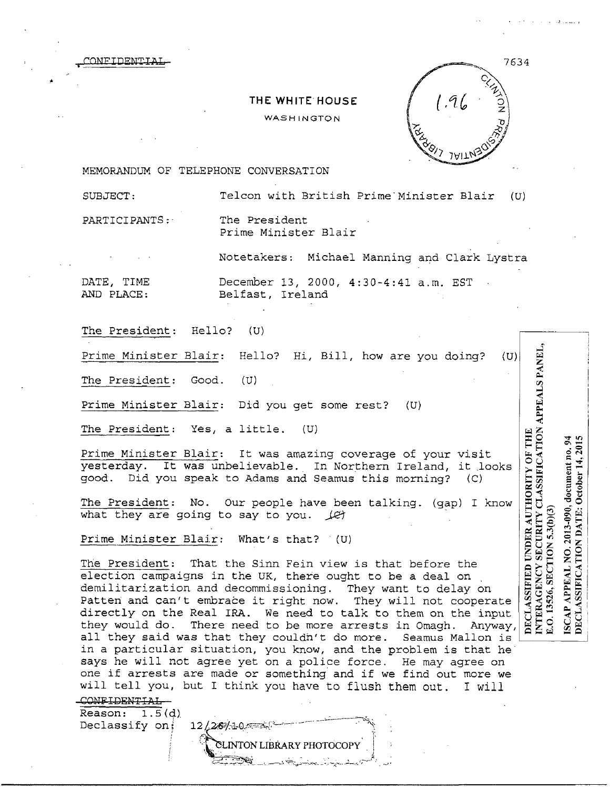**DECLASSIFIED UNDER AUTHORITY OF THE INTERAGENCY SECURITY CLASSIFICATION APPEALS PANEI** 

ISCAP APPEAL NO. 2013-090, document no. 94 DECLASSIFICATION DATE: October 14, 201

SECTION 5.3(b)(3)

 $\frac{1}{2}$ 

7634

MEMORANDUM OF TELEPHONE CONVERSATION

•

•

SUBJECT: Telcon with British Prime Minister Blair (U)

PARTICIPANTS: The President

CONFIDENTIAI

Prime Minister Blair

**THE WHITE HOUSE**  WASHINGTON

Notetakers: Michael Manning and Clark Lystra

DATE, TIME December 13, 2000, 4:30-4:41 a.m. EST Belfast, Ireland

The President: Hello? (U)

Prime Minister Blair: Hello? Hi, Bill, how are you doing? (U)

The President: Good. (U)

Prime Minister Blair: Did you get some rest? (U)

The President: Yes, a little. (U)

Prime Minister Blair: It was amazing coverage of your visit yesterday. It was unbelievable. In Northern Ireland, it looks<br>good. Did you speak to Adams and Seamus this morning? (C) good. Did you speak to Adams and Seamus this morning?

The President: No. Our people have been talking. (gap) I know what they are going to say to you.  $\sqrt{\epsilon}$ 

Prime Minister Blair: What's that? (U)

 $12/26/10$ 

The President: That the Sinn Fein view is that before the election campaigns in the UK, there ought to be a deal on demilitarization and decommissioning. They want to delay on Patten and can't embrace it right now. They will not cooperate directly on the Real IRA. We need to talk to them on the input<br>they would do. There need to be more arrests in Omagh. Anyway, they would do. There need to be more arrests in Omagh. all they said was that they couldn't do more. Seamus Mallon is in a particular situation, you know, and the problem is that he says he will not agree yet on a police force. He may agree on one if arrests are made or something and if we find out more we will tell you, but I think you have to flush them out. I will

CONFIDENTIAL

 $Reason: 1.5(d)$ . Declassify on;

**LINTON LIBRARY PHOTOCOPY**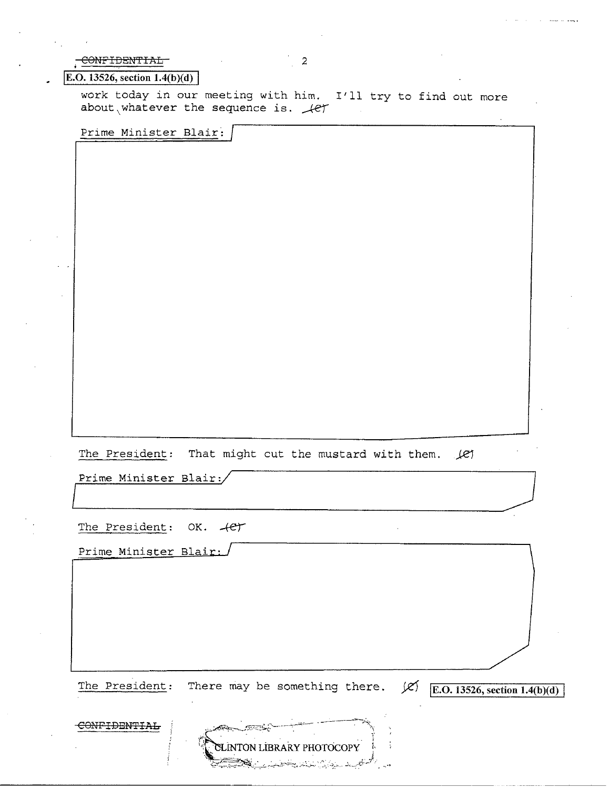CONFIDENTIAL

## **E.O.** 13526, section  $1.4(b)(d)$

work today in our meeting with him. I'll try to find out more about whatever the sequence is.  $\mathcal{L}$ 

 $\overline{2}$ 

Prime Minister Blair:

The President: That might cut the mustard with them. أجمله

Prime Minister Blair:/

The President: OK. 4et

Prime Minister Blair:

There may be something there.  $\cancel{\mathcal{L}}$  [E.O. 13526, section 1.4(b)(d) The President:

 $\mathcal{L}_{\mathcal{L}}$ 

CLINTON LIBRARY PHOTOCOPY

بطا بالمودارة إزالمالكم ويتجاهلني

CONFIDENTIAL